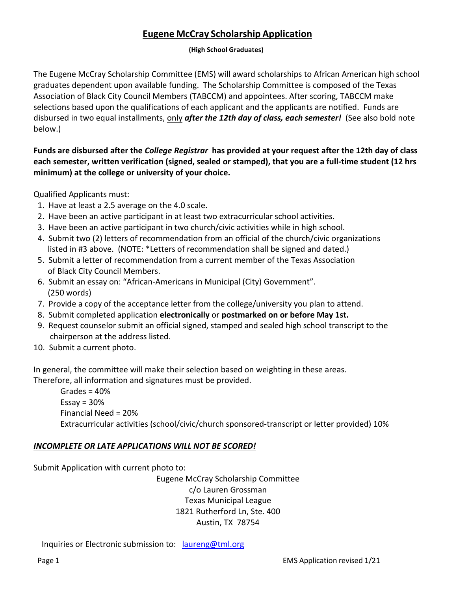## **Eugene McCray Scholarship Application**

## **(High School Graduates)**

The Eugene McCray Scholarship Committee (EMS) will award scholarships to African American high school graduates dependent upon available funding. The Scholarship Committee is composed of the Texas Association of Black City Council Members (TABCCM) and appointees. After scoring, TABCCM make selections based upon the qualifications of each applicant and the applicants are notified. Funds are disbursed in two equal installments, only *after the 12th day of class, each semester!* (See also bold note below.)

**Funds are disbursed after the** *College Registrar* **has provided at your request after the 12th day of class each semester, written verification (signed, sealed or stamped), that you are a full-time student (12 hrs minimum) at the college or university of your choice.** 

Qualified Applicants must:

- 1. Have at least a 2.5 average on the 4.0 scale.
- 2. Have been an active participant in at least two extracurricular school activities.
- 3. Have been an active participant in two church/civic activities while in high school.
- 4. Submit two (2) letters of recommendation from an official of the church/civic organizations listed in #3 above. (NOTE: \*Letters of recommendation shall be signed and dated.)
- 5. Submit a letter of recommendation from a current member of the Texas Association of Black City Council Members.
- 6. Submit an essay on: "African-Americans in Municipal (City) Government". (250 words)
- 7. Provide a copy of the acceptance letter from the college/university you plan to attend.
- 8. Submit completed application **electronically** or **postmarked on or before May 1st.**
- 9. Request counselor submit an official signed, stamped and sealed high school transcript to the chairperson at the address listed.
- 10. Submit a current photo.

In general, the committee will make their selection based on weighting in these areas.

Therefore, all information and signatures must be provided.

Grades =  $40%$ Essay =  $30%$ Financial Need = 20% Extracurricular activities (school/civic/church sponsored-transcript or letter provided) 10%

## *INCOMPLETE OR LATE APPLICATIONS WILL NOT BE SCORED!*

Submit Application with current photo to:

Eugene McCray Scholarship Committee c/o Lauren Grossman Texas Municipal League 1821 Rutherford Ln, Ste. 400 Austin, TX 78754

Inquiries or Electronic submission to: [laureng@tml.org](mailto:laureng@tml.org)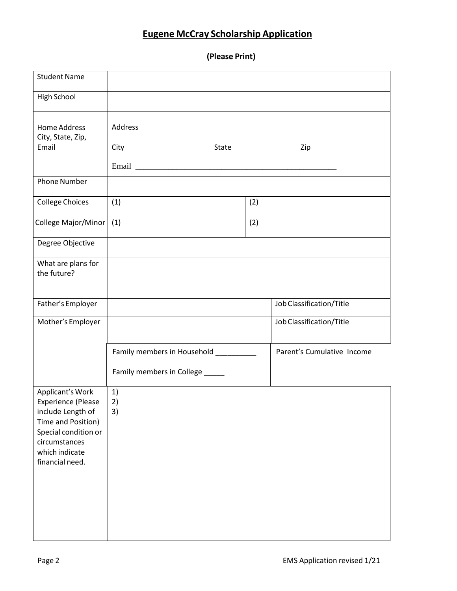## **Eugene McCray Scholarship Application**

**(Please Print)**

| <b>Student Name</b>                                                                      |                                                                           |     |                            |
|------------------------------------------------------------------------------------------|---------------------------------------------------------------------------|-----|----------------------------|
| High School                                                                              |                                                                           |     |                            |
| <b>Home Address</b><br>City, State, Zip,<br>Email                                        |                                                                           |     |                            |
| <b>Phone Number</b>                                                                      |                                                                           |     |                            |
| <b>College Choices</b>                                                                   | (2)<br>(1)                                                                |     |                            |
| College Major/Minor                                                                      | (1)                                                                       | (2) |                            |
| Degree Objective                                                                         |                                                                           |     |                            |
| What are plans for<br>the future?                                                        |                                                                           |     |                            |
| Father's Employer                                                                        |                                                                           |     | Job Classification/Title   |
| Mother's Employer                                                                        |                                                                           |     | Job Classification/Title   |
|                                                                                          | Family members in Household __________<br>Family members in College _____ |     | Parent's Cumulative Income |
| Applicant's Work<br><b>Experience (Please</b><br>include Length of<br>Time and Position) | 1)<br>2)<br>3)                                                            |     |                            |
| Special condition or<br>circumstances<br>which indicate<br>financial need.               |                                                                           |     |                            |